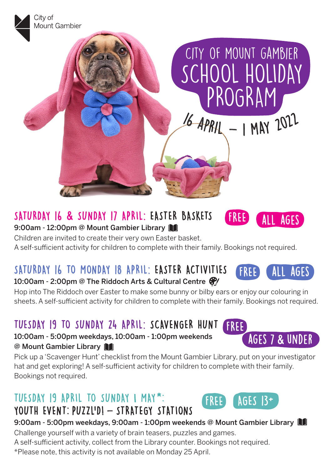

# SATURDAY 16 **&** SUNDAY 17 APRIL: EASTER BASKETS

9:00am - 12:00pm @ Mount Gambier Library

Children are invited to create their very own Easter basket. A self-sufficient activity for children to complete with their family. Bookings not required.

# SATURDAY 16 TO MONDAY 18 APRIL: EASTER ACTIVITIES 10:00am - 2:00pm @ The Riddoch Arts & Cultural Centre  $\mathcal{F}$

Hop into The Riddoch over Easter to make some bunny or bilby ears or enjoy our colouring in sheets. A self-sufficient activity for children to complete with their family. Bookings not required.

### TUESDAY 19 TO SUNDAY 24 APRIL: SCAVENGER HUNT FREE

10:00am - 5:00pm weekdays, 10:00am - 1:00pm weekends @ Mount Gambier Library

Pick up a 'Scavenger Hunt' checklist from the Mount Gambier Library, put on your investigator hat and get exploring! A self-sufficient activity for children to complete with their family. Bookings not required.

# TUESDAY 19 APRIL TO SUNDAY 1 MAY\*: YOUTH EVENT: PUZZL'DI - STRATEGY STATIONS



FREE

FREE

9:00am - 5:00pm weekdays, 9:00am - 1:00pm weekends @ Mount Gambier Library

Challenge yourself with a variety of brain teasers, puzzles and games.

A self-sufficient activity, collect from the Library counter. Bookings not required.

\*Please note, this activity is not available on Monday 25 April.



ages 7 **&** under

all ages

all ages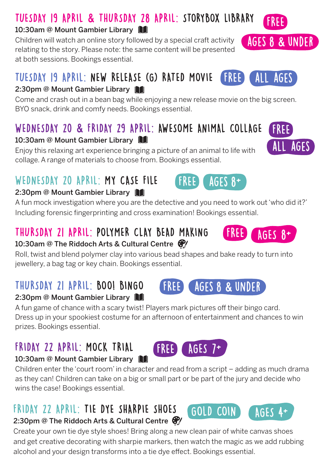# TUESDAY 19 APRIL **&** THURSDAY 28 APRIL: STORYBOX LIBRARY

### 10:30am @ Mount Gambier Library

Children will watch an online story followed by a special craft activity relating to the story. Please note: the same content will be presented at both sessions. Bookings essential.

#### TUESDAY 19 APRIL: NEW RELEASE (G) RATED MOVIE all ages FREE

### 2:30pm @ Mount Gambier Library

Come and crash out in a bean bag while enjoying a new release movie on the big screen. BYO snack, drink and comfy needs. Bookings essential.

# WEDNESDAY 20 **&** FRIDAY 29 APRIL: AWESOME ANIMAL COLLAGE

### 10:30am @ Mount Gambier Library

Enjoy this relaxing art experience bringing a picture of an animal to life with collage. A range of materials to choose from. Bookings essential.

# WEDNESDAY 20 APRIL: MY CASE FILE

## 2:30pm @ Mount Gambier Library

A fun mock investigation where you are the detective and you need to work out 'who did it?' Including forensic fingerprinting and cross examination! Bookings essential.

# THURSDAY 21 APRIL: POLYMER CLAY BEAD MAKING

### 10:30am @ The Riddoch Arts & Cultural Centre  $\mathcal{F}/\mathcal{E}$

Roll, twist and blend polymer clay into various bead shapes and bake ready to turn into jewellery, a bag tag or key chain. Bookings essential.

# THURSDAY 21 APRIL: BOO! BINGO

2:30pm @ Mount Gambier Library

A fun game of chance with a scary twist! Players mark pictures off their bingo card. Dress up in your spookiest costume for an afternoon of entertainment and chances to win prizes. Bookings essential.

**FREE** 

## FRIDAY 22 APRIL: MOCK TRIAL 10:30am @ Mount Gambier Library

Children enter the 'court room' in character and read from a script – adding as much drama as they can! Children can take on a big or small part or be part of the jury and decide who wins the case! Bookings essential.

# FRIDAY 22 APRIL: TIE DYE SHARPIE SHOES

### 2:30pm @ The Riddoch Arts & Cultural Centre  $\mathcal{C}/\mathcal{C}$

Create your own tie dye style shoes! Bring along a new clean pair of white canvas shoes and get creative decorating with sharpie markers, then watch the magic as we add rubbing alcohol and your design transforms into a tie dye effect. Bookings essential.





ages 8 **&** under

GOLD COIN AGES 4+







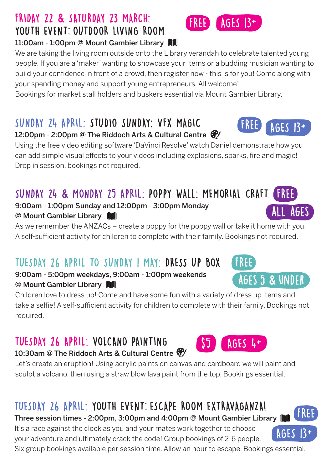### Three session times - 2:00pm, 3:00pm and 4:00pm @ Mount Gambier Library || It's a race against the clock as you and your mates work together to choose

TUESDAY 26 APRIL: YOUTH EVENT: ESCAPE ROOM EXTRAVAGANZA!

your adventure and ultimately crack the code! Group bookings of 2-6 people. Six group bookings available per session time. Allow an hour to escape. Bookings essential.

# FRIDAY 22 **&** SATURDAY 23 MARCH: YOUTH EVENT: OUTDOOR LIVING ROOM

11:00am - 1:00pm @ Mount Gambier Library

We are taking the living room outside onto the Library verandah to celebrate talented young people. If you are a 'maker' wanting to showcase your items or a budding musician wanting to build your confidence in front of a crowd, then register now - this is for you! Come along with your spending money and support young entrepreneurs. All welcome!

Bookings for market stall holders and buskers essential via Mount Gambier Library.

# SUNDAY 24 APRIL: STUDIO SUNDAY: VFX MAGIC

## 12:00pm - 2:00pm @ The Riddoch Arts & Cultural Centre @

Using the free video editing software 'DaVinci Resolve' watch Daniel demonstrate how you can add simple visual effects to your videos including explosions, sparks, fire and magic! Drop in session, bookings not required.

### SUNDAY 24 **&** MONDAY 25 APRIL: POPPY WALL: MEMORIAL CRAFT FREE

9:00am - 1:00pm Sunday and 12:00pm - 3:00pm Monday @ Mount Gambier Library

As we remember the ANZACs – create a poppy for the poppy wall or take it home with you. A self-sufficient activity for children to complete with their family. Bookings not required.

# TUESDAY 26 APRIL TO SUNDAY 1 MAY: DRESS UP BOX

## 9:00am - 5:00pm weekdays, 9:00am - 1:00pm weekends @ Mount Gambier Library

Children love to dress up! Come and have some fun with a variety of dress up items and take a selfie! A self-sufficient activity for children to complete with their family. Bookings not required.

# TUESDAY 26 APRIL: VOLCANO PAINTING

# 10:30am @ The Riddoch Arts & Cultural Centre  $\mathcal{F}$

Let's create an eruption! Using acrylic paints on canvas and cardboard we will paint and sculpt a volcano, then using a straw blow lava paint from the top. Bookings essential.

FREE

FREE





AGES 13+

**AGES** 



ages 5 **&** under





FREE